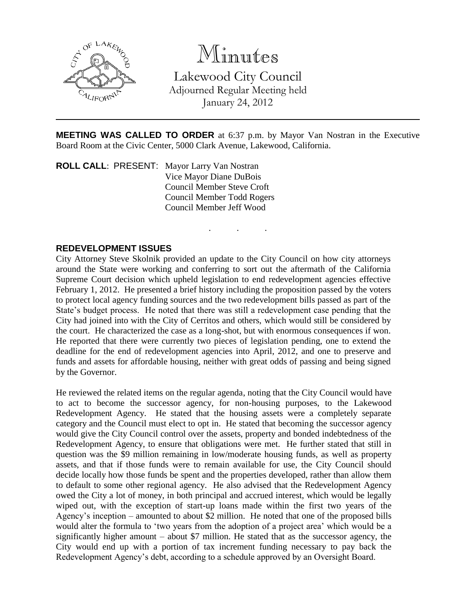

Minutes

Lakewood City Council Adjourned Regular Meeting held January 24, 2012

**MEETING WAS CALLED TO ORDER** at 6:37 p.m. by Mayor Van Nostran in the Executive Board Room at the Civic Center, 5000 Clark Avenue, Lakewood, California.

. . .

**ROLL CALL**: PRESENT: Mayor Larry Van Nostran Vice Mayor Diane DuBois Council Member Steve Croft Council Member Todd Rogers Council Member Jeff Wood

## **REDEVELOPMENT ISSUES**

City Attorney Steve Skolnik provided an update to the City Council on how city attorneys around the State were working and conferring to sort out the aftermath of the California Supreme Court decision which upheld legislation to end redevelopment agencies effective February 1, 2012. He presented a brief history including the proposition passed by the voters to protect local agency funding sources and the two redevelopment bills passed as part of the State's budget process. He noted that there was still a redevelopment case pending that the City had joined into with the City of Cerritos and others, which would still be considered by the court. He characterized the case as a long-shot, but with enormous consequences if won. He reported that there were currently two pieces of legislation pending, one to extend the deadline for the end of redevelopment agencies into April, 2012, and one to preserve and funds and assets for affordable housing, neither with great odds of passing and being signed by the Governor.

He reviewed the related items on the regular agenda, noting that the City Council would have to act to become the successor agency, for non-housing purposes, to the Lakewood Redevelopment Agency. He stated that the housing assets were a completely separate category and the Council must elect to opt in. He stated that becoming the successor agency would give the City Council control over the assets, property and bonded indebtedness of the Redevelopment Agency, to ensure that obligations were met. He further stated that still in question was the \$9 million remaining in low/moderate housing funds, as well as property assets, and that if those funds were to remain available for use, the City Council should decide locally how those funds be spent and the properties developed, rather than allow them to default to some other regional agency. He also advised that the Redevelopment Agency owed the City a lot of money, in both principal and accrued interest, which would be legally wiped out, with the exception of start-up loans made within the first two years of the Agency's inception – amounted to about \$2 million. He noted that one of the proposed bills would alter the formula to 'two years from the adoption of a project area' which would be a significantly higher amount – about \$7 million. He stated that as the successor agency, the City would end up with a portion of tax increment funding necessary to pay back the Redevelopment Agency's debt, according to a schedule approved by an Oversight Board.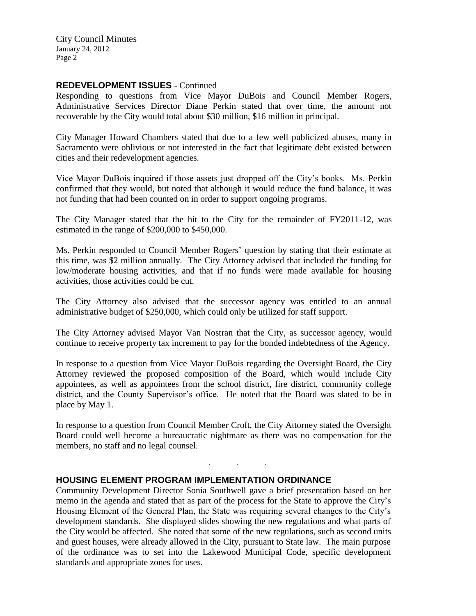City Council Minutes January 24, 2012 Page 2

## **REDEVELOPMENT ISSUES** - Continued

Responding to questions from Vice Mayor DuBois and Council Member Rogers, Administrative Services Director Diane Perkin stated that over time, the amount not recoverable by the City would total about \$30 million, \$16 million in principal.

City Manager Howard Chambers stated that due to a few well publicized abuses, many in Sacramento were oblivious or not interested in the fact that legitimate debt existed between cities and their redevelopment agencies.

Vice Mayor DuBois inquired if those assets just dropped off the City's books. Ms. Perkin confirmed that they would, but noted that although it would reduce the fund balance, it was not funding that had been counted on in order to support ongoing programs.

The City Manager stated that the hit to the City for the remainder of FY2011-12, was estimated in the range of \$200,000 to \$450,000.

Ms. Perkin responded to Council Member Rogers' question by stating that their estimate at this time, was \$2 million annually. The City Attorney advised that included the funding for low/moderate housing activities, and that if no funds were made available for housing activities, those activities could be cut.

The City Attorney also advised that the successor agency was entitled to an annual administrative budget of \$250,000, which could only be utilized for staff support.

The City Attorney advised Mayor Van Nostran that the City, as successor agency, would continue to receive property tax increment to pay for the bonded indebtedness of the Agency.

In response to a question from Vice Mayor DuBois regarding the Oversight Board, the City Attorney reviewed the proposed composition of the Board, which would include City appointees, as well as appointees from the school district, fire district, community college district, and the County Supervisor's office. He noted that the Board was slated to be in place by May 1.

In response to a question from Council Member Croft, the City Attorney stated the Oversight Board could well become a bureaucratic nightmare as there was no compensation for the members, no staff and no legal counsel.

. . .

## **HOUSING ELEMENT PROGRAM IMPLEMENTATION ORDINANCE**

Community Development Director Sonia Southwell gave a brief presentation based on her memo in the agenda and stated that as part of the process for the State to approve the City's Housing Element of the General Plan, the State was requiring several changes to the City's development standards. She displayed slides showing the new regulations and what parts of the City would be affected. She noted that some of the new regulations, such as second units and guest houses, were already allowed in the City, pursuant to State law. The main purpose of the ordinance was to set into the Lakewood Municipal Code, specific development standards and appropriate zones for uses.